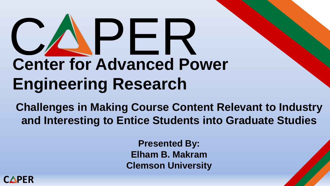# Center for Advanced Po **Center for Advanced Power Engineering Research**

**Challenges in Making Course Content Relevant to Industry and Interesting to Entice Students into Graduate Studies**

> **Presented By: Elham B. Makram Clemson University**

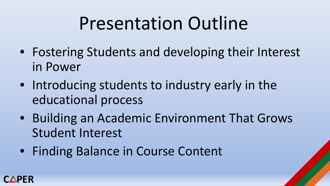## Presentation Outline

- Fostering Students and developing their Interest in Power
- Introducing students to industry early in the educational process
- Building an Academic Environment That Grows Student Interest
- Finding Balance in Course Content

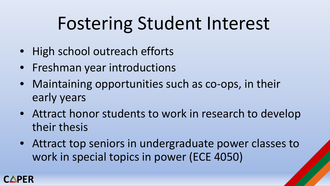# Fostering Student Interest

- High school outreach efforts
- Freshman year introductions
- Maintaining opportunities such as co-ops, in their early years
- Attract honor students to work in research to develop their thesis
- Attract top seniors in undergraduate power classes to work in special topics in power (ECE 4050)

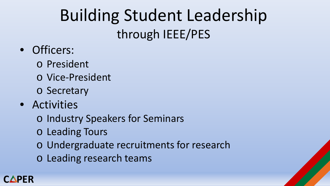#### Building Student Leadership through IEEE/PES

- Officers:
	- o President
	- o Vice-President
	- o Secretary
- Activities
	- o Industry Speakers for Seminars
	- o Leading Tours
	- o Undergraduate recruitments for research
	- o Leading research teams

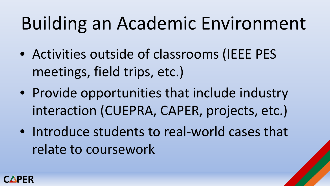# Building an Academic Environment

- Activities outside of classrooms (IEEE PES meetings, field trips, etc.)
- Provide opportunities that include industry interaction (CUEPRA, CAPER, projects, etc.)
- Introduce students to real-world cases that relate to coursework

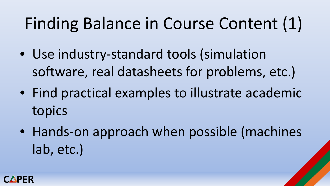## Finding Balance in Course Content (1)

- Use industry-standard tools (simulation software, real datasheets for problems, etc.)
- Find practical examples to illustrate academic topics
- Hands-on approach when possible (machines lab, etc.)

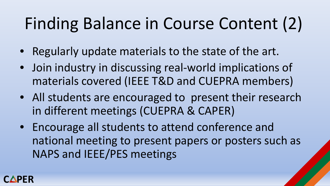## Finding Balance in Course Content (2)

- Regularly update materials to the state of the art.
- Join industry in discussing real-world implications of materials covered (IEEE T&D and CUEPRA members)
- All students are encouraged to present their research in different meetings (CUEPRA & CAPER)
- Encourage all students to attend conference and national meeting to present papers or posters such as NAPS and IEEE/PES meetings